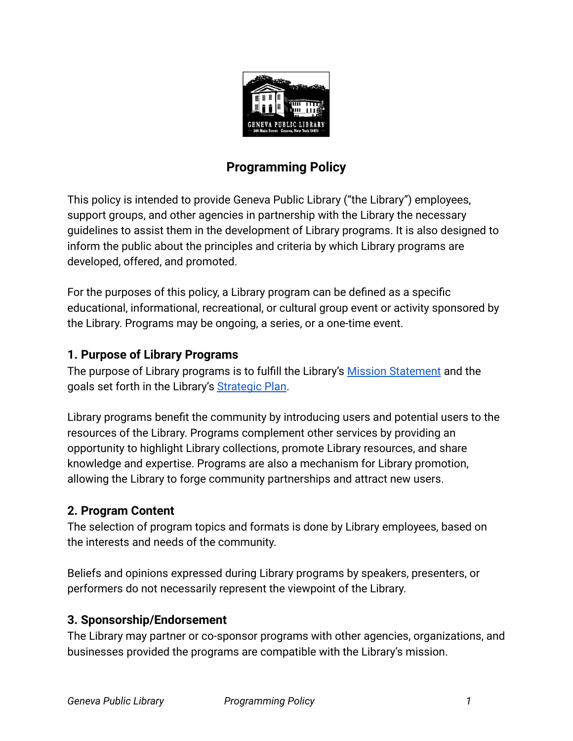

# **Programming Policy**

This policy is intended to provide Geneva Public Library ("the Library") employees, support groups, and other agencies in partnership with the Library the necessary guidelines to assist them in the development of Library programs. It is also designed to inform the public about the principles and criteria by which Library programs are developed, offered, and promoted.

For the purposes of this policy, a Library program can be defined as a specific educational, informational, recreational, or cultural group event or activity sponsored by the Library. Programs may be ongoing, a series, or a one-time event.

#### **1. Purpose of Library Programs**

The purpose of Library programs is to fulfill the Library's [Mission Statement](https://www.genevapubliclibrary.net/uploads/4/9/7/8/49788875/library_mission_statement.pdf) and the goals set forth in the Library's [Strategic Plan](https://www.genevapubliclibrary.net/uploads/4/9/7/8/49788875/geneva_public_library_strategic_plan_2020-2022.pdf).

Library programs benefit the community by introducing users and potential users to the resources of the Library. Programs complement other services by providing an opportunity to highlight Library collections, promote Library resources, and share knowledge and expertise. Programs are also a mechanism for Library promotion, allowing the Library to forge community partnerships and attract new users.

## **2. Program Content**

The selection of program topics and formats is done by Library employees, based on the interests and needs of the community.

Beliefs and opinions expressed during Library programs by speakers, presenters, or performers do not necessarily represent the viewpoint of the Library.

#### **3. Sponsorship/Endorsement**

The Library may partner or co-sponsor programs with other agencies, organizations, and businesses provided the programs are compatible with the Library's mission.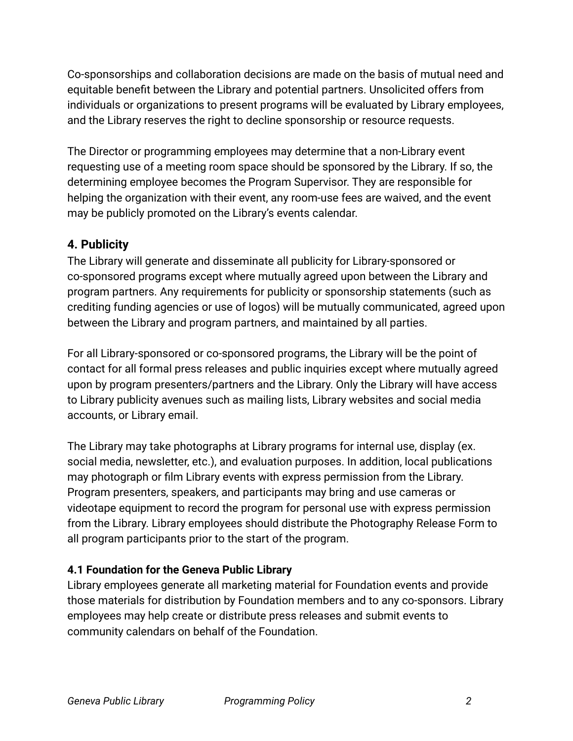Co-sponsorships and collaboration decisions are made on the basis of mutual need and equitable benefit between the Library and potential partners. Unsolicited offers from individuals or organizations to present programs will be evaluated by Library employees, and the Library reserves the right to decline sponsorship or resource requests.

The Director or programming employees may determine that a non-Library event requesting use of a meeting room space should be sponsored by the Library. If so, the determining employee becomes the Program Supervisor. They are responsible for helping the organization with their event, any room-use fees are waived, and the event may be publicly promoted on the Library's events calendar.

## **4. Publicity**

The Library will generate and disseminate all publicity for Library-sponsored or co-sponsored programs except where mutually agreed upon between the Library and program partners. Any requirements for publicity or sponsorship statements (such as crediting funding agencies or use of logos) will be mutually communicated, agreed upon between the Library and program partners, and maintained by all parties.

For all Library-sponsored or co-sponsored programs, the Library will be the point of contact for all formal press releases and public inquiries except where mutually agreed upon by program presenters/partners and the Library. Only the Library will have access to Library publicity avenues such as mailing lists, Library websites and social media accounts, or Library email.

The Library may take photographs at Library programs for internal use, display (ex. social media, newsletter, etc.), and evaluation purposes. In addition, local publications may photograph or film Library events with express permission from the Library. Program presenters, speakers, and participants may bring and use cameras or videotape equipment to record the program for personal use with express permission from the Library. Library employees should distribute the Photography Release Form to all program participants prior to the start of the program.

## **4.1 Foundation for the Geneva Public Library**

Library employees generate all marketing material for Foundation events and provide those materials for distribution by Foundation members and to any co-sponsors. Library employees may help create or distribute press releases and submit events to community calendars on behalf of the Foundation.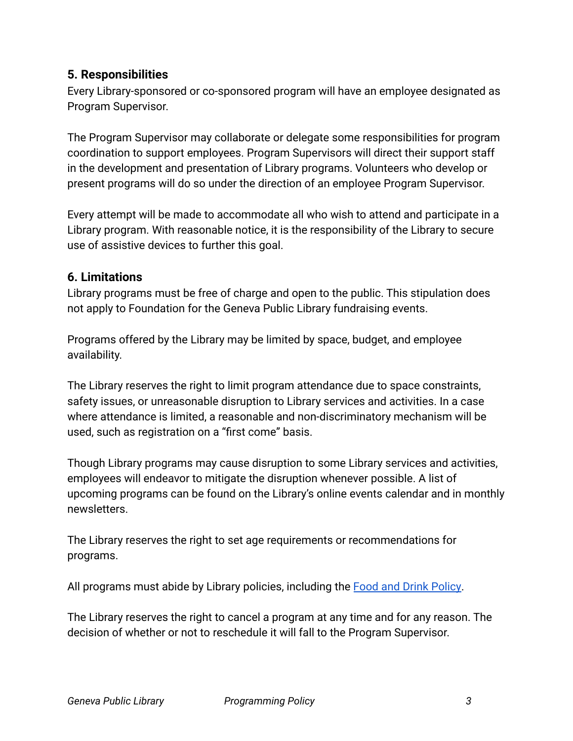#### **5. Responsibilities**

Every Library-sponsored or co-sponsored program will have an employee designated as Program Supervisor.

The Program Supervisor may collaborate or delegate some responsibilities for program coordination to support employees. Program Supervisors will direct their support staff in the development and presentation of Library programs. Volunteers who develop or present programs will do so under the direction of an employee Program Supervisor.

Every attempt will be made to accommodate all who wish to attend and participate in a Library program. With reasonable notice, it is the responsibility of the Library to secure use of assistive devices to further this goal.

#### **6. Limitations**

Library programs must be free of charge and open to the public. This stipulation does not apply to Foundation for the Geneva Public Library fundraising events.

Programs offered by the Library may be limited by space, budget, and employee availability.

The Library reserves the right to limit program attendance due to space constraints, safety issues, or unreasonable disruption to Library services and activities. In a case where attendance is limited, a reasonable and non-discriminatory mechanism will be used, such as registration on a "first come" basis.

Though Library programs may cause disruption to some Library services and activities, employees will endeavor to mitigate the disruption whenever possible. A list of upcoming programs can be found on the Library's online events calendar and in monthly newsletters.

The Library reserves the right to set age requirements or recommendations for programs.

All programs must abide by Library policies, including the [Food and Drink Policy](https://www.genevapubliclibrary.net/uploads/4/9/7/8/49788875/food_and_drink_policy.pdf).

The Library reserves the right to cancel a program at any time and for any reason. The decision of whether or not to reschedule it will fall to the Program Supervisor.